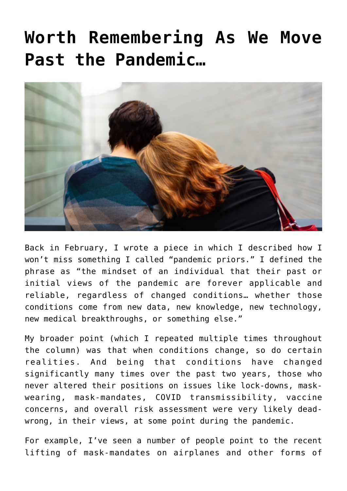## **[Worth Remembering As We Move](https://bernardgoldberg.com/worth-remembering-as-we-move-past-the-pandemic/) [Past the Pandemic…](https://bernardgoldberg.com/worth-remembering-as-we-move-past-the-pandemic/)**



Back in February, I wrote [a piece](https://bernardgoldberg.com/i-wont-miss-pandemic-priors/) in which I described how I won't miss something I called "pandemic priors." I defined the phrase as "the mindset of an individual that their past or initial views of the pandemic are forever applicable and reliable, regardless of changed conditions… whether those conditions come from new data, new knowledge, new technology, new medical breakthroughs, or something else."

My broader point (which I repeated multiple times throughout the column) was that when conditions change, so do certain realities. And being that conditions have changed significantly many times over the past two years, those who never altered their positions on issues like lock-downs, maskwearing, mask-mandates, COVID transmissibility, vaccine concerns, and overall risk assessment were very likely deadwrong, in their views, at some point during the pandemic.

For example, I've seen a number of people point to the recent lifting of mask-mandates on airplanes and other forms of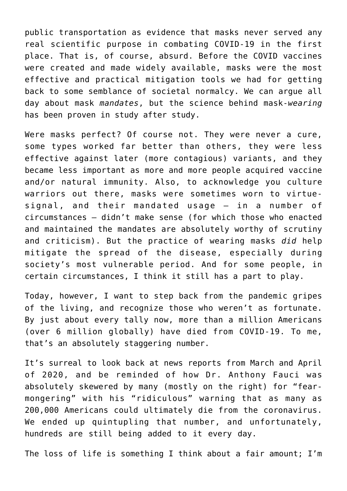public transportation as evidence that masks never served any real scientific purpose in combating COVID-19 in the first place. That is, of course, absurd. Before the COVID vaccines were created and made widely available, masks were the most effective and practical mitigation tools we had for getting back to some semblance of societal normalcy. We can argue all day about mask *mandates*, but the science behind mask-*wearing* has been proven in study after study.

Were masks perfect? Of course not. They were never a cure, some types worked far better than others, they were less effective against later (more contagious) variants, and they became less important as more and more people acquired vaccine and/or natural immunity. Also, to acknowledge you culture warriors out there, masks were sometimes worn to virtuesignal, and their mandated usage — in a number of circumstances — didn't make sense (for which those who enacted and maintained the mandates are absolutely worthy of scrutiny and criticism). But the practice of wearing masks *did* help mitigate the spread of the disease, especially during society's most vulnerable period. And for some people, in certain circumstances, I think it still has a part to play.

Today, however, I want to step back from the pandemic gripes of the living, and recognize those who weren't as fortunate. By just about every tally now, more than a million Americans (over 6 million globally) have died from COVID-19. To me, that's an absolutely staggering number.

It's surreal to look back at news reports from March and April of 2020, and be reminded of how Dr. Anthony Fauci was absolutely skewered by many (mostly on the right) for "fearmongering" with his "ridiculous" warning that as many as 200,000 Americans could ultimately die from the coronavirus. We ended up quintupling that number, and unfortunately, hundreds are still being added to it every day.

The loss of life is something I think about a fair amount; I'm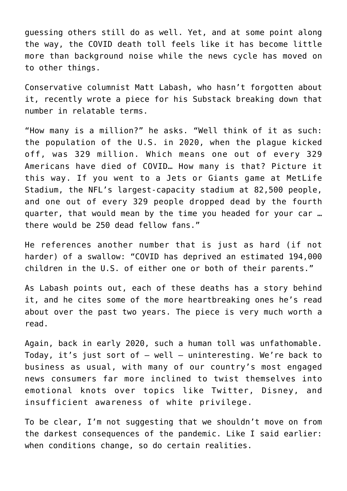guessing others still do as well. Yet, and at some point along the way, the COVID death toll feels like it has become little more than background noise while the news cycle has moved on to other things.

Conservative columnist Matt Labash, who hasn't forgotten about it, recently wrote [a piece for his Substack](https://mattlabash.substack.com/p/a-million-gone/comments?s=r) breaking down that number in relatable terms.

"How many is a million?" he asks. "Well think of it as such: the population of the U.S. in 2020, when the plague kicked off, was 329 million. Which means one out of every 329 Americans have died of COVID… How many is that? Picture it this way. If you went to a Jets or Giants game at MetLife Stadium, the NFL's largest-capacity stadium at 82,500 people, and one out of every 329 people dropped dead by the fourth quarter, that would mean by the time you headed for your car … there would be 250 dead fellow fans."

He references another number that is just as hard (if not harder) of a swallow: "COVID has deprived an estimated 194,000 children in the U.S. of either one or both of their parents."

As Labash points out, each of these deaths has a story behind it, and he cites some of the more heartbreaking ones he's read about over the past two years. [The piece](https://mattlabash.substack.com/p/a-million-gone/comments?s=r) is very much worth a read.

Again, back in early 2020, such a human toll was unfathomable. Today, it's just sort of — well — uninteresting. We're back to business as usual, with many of our country's most engaged news consumers far more inclined to twist themselves into emotional knots over topics like Twitter, Disney, and insufficient awareness of white privilege.

To be clear, I'm not suggesting that we shouldn't move on from the darkest consequences of the pandemic. Like I said earlier: when conditions change, so do certain realities.